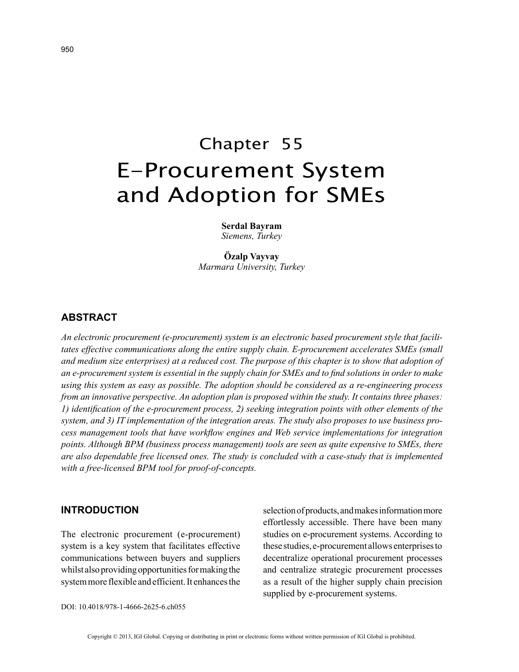# Chapter 55 E-Procurement System and Adoption for SMEs

**Serdal Bayram** *Siemens, Turkey*

**Özalp Vayvay** *Marmara University, Turkey*

# **ABSTRACT**

*An electronic procurement (e-procurement) system is an electronic based procurement style that facilitates effective communications along the entire supply chain. E-procurement accelerates SMEs (small and medium size enterprises) at a reduced cost. The purpose of this chapter is to show that adoption of an e-procurement system is essential in the supply chain for SMEs and to find solutions in order to make using this system as easy as possible. The adoption should be considered as a re-engineering process from an innovative perspective. An adoption plan is proposed within the study. It contains three phases: 1) identification of the e-procurement process, 2) seeking integration points with other elements of the system, and 3) IT implementation of the integration areas. The study also proposes to use business process management tools that have workflow engines and Web service implementations for integration points. Although BPM (business process management) tools are seen as quite expensive to SMEs, there are also dependable free licensed ones. The study is concluded with a case-study that is implemented with a free-licensed BPM tool for proof-of-concepts.*

#### **INTRODUCTION**

The electronic procurement (e-procurement) system is a key system that facilitates effective communications between buyers and suppliers whilst also providing opportunities for making the system more flexible and efficient. It enhances the selection of products, and makes information more effortlessly accessible. There have been many studies on e-procurement systems. According to these studies, e-procurement allows enterprises to decentralize operational procurement processes and centralize strategic procurement processes as a result of the higher supply chain precision supplied by e-procurement systems.

DOI: 10.4018/978-1-4666-2625-6.ch055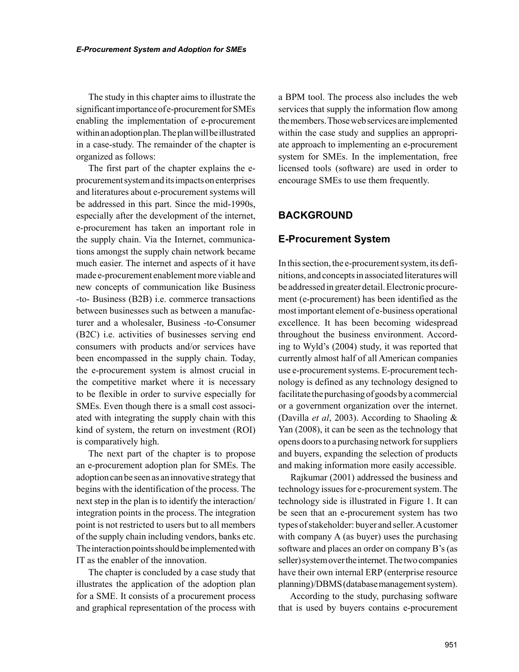The study in this chapter aims to illustrate the significant importance of e-procurement for SMEs enabling the implementation of e-procurement within an adoption plan. The plan will be illustrated in a case-study. The remainder of the chapter is organized as follows:

The first part of the chapter explains the eprocurement system and its impacts on enterprises and literatures about e-procurement systems will be addressed in this part. Since the mid-1990s, especially after the development of the internet, e-procurement has taken an important role in the supply chain. Via the Internet, communications amongst the supply chain network became much easier. The internet and aspects of it have made e-procurement enablement more viable and new concepts of communication like Business -to- Business (B2B) i.e. commerce transactions between businesses such as between a manufacturer and a wholesaler, Business -to-Consumer (B2C) i.e. activities of businesses serving end consumers with products and/or services have been encompassed in the supply chain. Today, the e-procurement system is almost crucial in the competitive market where it is necessary to be flexible in order to survive especially for SMEs. Even though there is a small cost associated with integrating the supply chain with this kind of system, the return on investment (ROI) is comparatively high.

The next part of the chapter is to propose an e-procurement adoption plan for SMEs. The adoption can be seen as an innovative strategy that begins with the identification of the process. The next step in the plan is to identify the interaction/ integration points in the process. The integration point is not restricted to users but to all members of the supply chain including vendors, banks etc. The interaction points should be implemented with IT as the enabler of the innovation.

The chapter is concluded by a case study that illustrates the application of the adoption plan for a SME. It consists of a procurement process and graphical representation of the process with a BPM tool. The process also includes the web services that supply the information flow among the members. Those web services are implemented within the case study and supplies an appropriate approach to implementing an e-procurement system for SMEs. In the implementation, free licensed tools (software) are used in order to encourage SMEs to use them frequently.

# **BACKGROUND**

## **E-Procurement System**

In this section, the e-procurement system, its definitions, and concepts in associated literatures will be addressed in greater detail. Electronic procurement (e-procurement) has been identified as the most important element of e-business operational excellence. It has been becoming widespread throughout the business environment. According to Wyld's (2004) study, it was reported that currently almost half of all American companies use e-procurement systems. E-procurement technology is defined as any technology designed to facilitate the purchasing of goods by a commercial or a government organization over the internet. (Davilla *et al*, 2003). According to Shaoling & Yan (2008), it can be seen as the technology that opens doors to a purchasing network for suppliers and buyers, expanding the selection of products and making information more easily accessible.

Rajkumar (2001) addressed the business and technology issues for e-procurement system. The technology side is illustrated in Figure 1. It can be seen that an e-procurement system has two types of stakeholder: buyer and seller. A customer with company A (as buyer) uses the purchasing software and places an order on company B's (as seller) system over the internet. The two companies have their own internal ERP (enterprise resource planning)/DBMS (database management system).

According to the study, purchasing software that is used by buyers contains e-procurement